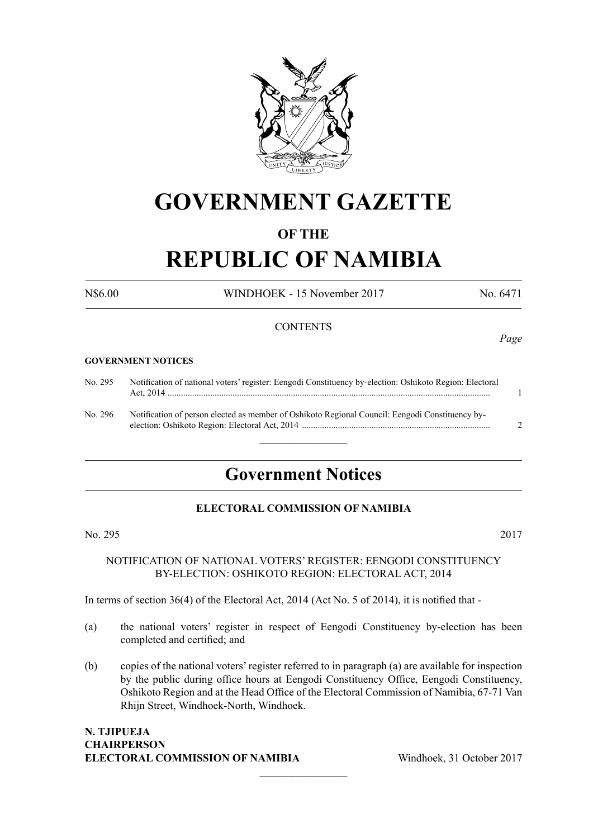

## **GOVERNMENT GAZETTE**

### **OF THE**

# **REPUBLIC OF NAMIBIA**

N\$6.00 WINDHOEK - 15 November 2017 No. 6471

### **CONTENTS**

#### **GOVERNMENT NOTICES**

| No. 295 | Notification of national voters' register: Eengodi Constituency by-election: Oshikoto Region: Electoral |  |
|---------|---------------------------------------------------------------------------------------------------------|--|
| No. 296 | Notification of person elected as member of Oshikoto Regional Council: Eengodi Constituency by-         |  |

 $\frac{1}{2}$ 

### **Government Notices**

### **ELECTORAL COMMISSION OF NAMIBIA**

No. 295 2017

NOTIFICATION OF NATIONAL VOTERS' REGISTER: EENGODI CONSTITUENCY BY-ELECTION: OSHIKOTO REGION: ELECTORAL ACT, 2014

In terms of section 36(4) of the Electoral Act, 2014 (Act No. 5 of 2014), it is notified that -

- (a) the national voters' register in respect of Eengodi Constituency by-election has been completed and certified; and
- (b) copies of the national voters' register referred to in paragraph (a) are available for inspection by the public during office hours at Eengodi Constituency Office, Eengodi Constituency, Oshikoto Region and at the Head Office of the Electoral Commission of Namibia, 67-71 Van Rhijn Street, Windhoek-North, Windhoek.

 $\overline{\phantom{a}}$  , where  $\overline{\phantom{a}}$ 

### **N. Tjipueja Chairperson ELECTORAL COMMISSION OF NAMIBIA** Windhoek, 31 October 2017

*Page*